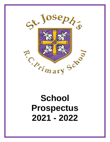

# **School Prospectus 2021 - 2022**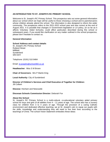# **AN INTRODUCTION TO ST. JOSEPH'S RC PRIMARY SCHOOL**

Welcome to St. Joseph's RC Primary School. This prospectus sets out some general information about our school which we hope will be useful to those choosing a school and to parents/carers whose children already attend the school. The information is also designed to inform the wider community. The prospectus refers to the 2021-2022 school year and was correct at the end of August 2021. It is possible that changes in Government legislation or LA policy, (in so far as it affects Voluntary Aided Schools), could affect particulars described during this school or subsequent years. If you would like clarification on any matter outlined in the school prospectus, please don't hesitate to contact us.

## **General Information**

## **School Address and contact details**

St. Joseph's RC Primary School Rutland Street Millfield **Sunderland** SR4 6HY

Telephone: (0191) 510 8484

Email: [st.josephs@school360.co.uk](mailto:st.josephs@school360.co.uk)

**Headteacher:** Miss S M Brown

**Chair of Governors:** Mrs P Martin-King

**Local Authority:** City of Sunderland

**Director of Children's Services and Chief Executive of Together for Children:** Jill Colbert

**Diocese:** Hexham and Newcastle

## **Diocesan Schools Commission Director:** Deborah Fox

#### **About the School**

St. Joseph's RC Primary School is a multi-cultural, co-educational voluntary aided primary school for boys and girls of all abilities from  $4 - 11$  years of age. The school also has a nursery class for children from 3 to 4 years of age. Through the provision of a caring Catholic environment and dedicated effective teaching, we at St. Joseph's aim to equip our pupils with the skills, knowledge and understanding they will need to live their lives according to the teachings of Christ. The school Vision Statement embodies these ideas: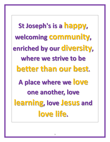**St Joseph's is a happy, welcoming community, enriched by our diversity, where we strive to be better than our best. A place where we love one another, love learning, love Jesus and love life.**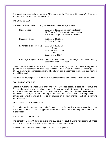The school and parents have formed a PTA, known as the "Friends of St Joseph's". They meet to organise social and fund raising events.

# **The SCHOOL DAY**

The length of the school day is slightly different for different age groups.

| Nursery class              | 8.50 am to 11.50 am for morning children<br>12.20 pm to 3.20 pm for afternoon children<br>8.50am to 3.20pm for 30 hours children |
|----------------------------|----------------------------------------------------------------------------------------------------------------------------------|
| <b>Reception Class</b>     | 8.50 am to 11.50 pm<br>1.10 pm to 3.20 pm                                                                                        |
| Key Stage 1 (aged 4 to 7)  | 8.50 am to 10.30 am<br><b>Break</b><br>10.45 am to 11.50 am<br>Lunch<br>1.10 pm to 3.20 pm                                       |
| Key Stage 2 (aged 7 to 11) | has the same times as Key Stage 1 but their morning<br>session ends at 12.00 noon.                                               |

Doors open at 8.50am to allow the children to come straight into school where they will be greeted in the classroom by their class teacher. The bell for the morning session goes at 8.55am to allow for prompt registration. The playground is supervised throughout the morning, and midday breaks.

The teaching day for pupils is 4 hours 35 minutes for infants and 4 hours 45 minutes for juniors.

## **COLLECTIVE WORSHIP**

Collective Worship is undertaken daily and is usually class based, except for Mondays and Fridays when we have whole school Liturgical Prayer. We celebrate Mass at the beginning and end of each term and Key Stage 2 classes have the opportunity for individual Class Masses on a termly basis. Liturgical Prayer are a regular feature of our collective worship arrangements and parents are invited to attend those led by classes on a Friday morning and others marking special occasions.

## **SACRAMENTAL PREPARATION**

Preparation for the sacraments of Holy Communion and Reconciliation takes place in Year 4. Preparation is based in school supported by our parish priest, our staff and parents, and a team of catechists.

# **THE SCHOOL YEAR 2021-2022**

The school year is 190 days for pupils and 195 days for staff. Parents will receive advanced notice of in-service training days or changes caused by emergencies.

A copy of term dates is attached for your reference in Appendix 2.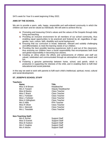SATs week for Year 6 is week beginning 9 May 2022.

# **AIMS OF THE SCHOOL**

We aim to provide a warm, safe, happy, responsible and well-ordered community in which the children can learn and be valued as individuals. We will seek to achieve this by:

- **F** Promoting and treasuring Christ's values and the values of the Gospels through daily living and teaching.
- **Providing an inclusive environment for all members of our school community, thus** enabling equal opportunities to be practiced and fostered by all, regardless of age, gender, race, culture, faith, disability and social background.
- **Ensuring that our curriculum is broad, balanced, relevant and suitably challenging** and differentiated, to meet the learning needs of our children.
- **Providing the best possible learning experiences both in and out of the classroom,** thus ensuring our children have a social responsibility that encompasses both local and global responsibility in becoming true citizens.
- $\overline{\phantom{a}}$  Creating an ethos where the efforts and achievements of children and staff are valued, celebrated and communicated through an atmosphere of praise, reward and fun.
- Fostering a genuine partnership between home, school, and parish, which is productive in supporting the interests of the child, and in enabling them to fulfil their educational and social potential.

In this way we seek to work with parents to fulfil each child's intellectual, spiritual, moral, cultural and social development.

#### **ST. JOSEPH'S SCHOOL STAFF**

Miss S Everett

#### **Teachers:**

| <b>Name</b>                | <b>Title</b>              |
|----------------------------|---------------------------|
| Miss S M Brown             | Headteacher               |
| Mrs A Toward               | Deputy Headteacher        |
| Miss M Banks               | <b>Class Teacher</b>      |
| Miss C Brack               | Class Teacher             |
| Mrs L Forbister            | <b>Class Teacher</b>      |
| Miss L Forbister           | Class Teacher             |
| Miss H Gillingham          | Class Teacher             |
| Mrs S Mills                | <b>PPA Teacher</b>        |
| Miss R Oliver              | <b>Class Teacher</b>      |
| Mrs L Stennett             | <b>Class Teacher</b>      |
| Mrs L Teasdale             | <b>Class Teacher</b>      |
| <b>Non-Teaching Staff:</b> |                           |
|                            | ⌒<br>$\sim$ $\sim$ $\sim$ |

Mrs E Archer Support Staff<br>
Miss S Everett Support Staff Miss B Hudson Support Staff Mrs C Hughes Support Staff Mrs A Moore Support Staff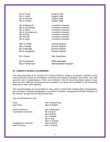| Mrs K Proud        | <b>Support Staff</b>          |
|--------------------|-------------------------------|
| Mrs C Smith        | <b>Support Staff</b>          |
| Mrs A Swinhoe      | <b>Support Staff</b>          |
| Mrs E Zientek      | <b>Support Staff</b>          |
| Mrs R Bettinardi   | Lunchtime Assistant           |
| Mrs D Catcheside   | Lunchtime Assistant           |
| Mrs G Dixon        | <b>Lunchtime Assistant</b>    |
| Mrs K Gorzelanczyk | Lunchtime Assistant           |
| Mrs W Park         | Lunchtime Assistant           |
| Mrs M Potts        | Lunchtime Assistant           |
| Mrs R Reay         | Lunchtime Assistant           |
| Mrs S Collier      | <b>School Cleaner</b>         |
| Mrs J Hewitt       | <b>School Cleaner</b>         |
| Mr D McNally       | <b>School Cleaner</b>         |
| Mr B Varughese     | <b>School Cleaner</b>         |
| Mr J Farrer        | <b>Site Supervisor</b>        |
| Mrs N Atkinson     | <b>Office Manager</b>         |
| Mrs P McKenzie     | <b>Administrative Support</b> |

# **ST. JOSEPH'S SCHOOL GOVERNORS**

The Governing Body of St. Joseph's RC Primary School is made up of parents, members of the local community known as Foundation Governors and Parent Foundation Governors, one staff governor and a representative of the Local Authority. The full Governing Body meets at least once per term although all governors are members of at least one committee of the Governing Body which meet more regularly.

The Governing Body are responsible for many areas of school life including policy development, the curriculum, financial management, recruitment, premises management and the production of the school's annual School Improvement Plan.

Your current governors are:

| Mrs P Martin-King<br>Miss D English |
|-------------------------------------|
| Mrs R Bettinardi                    |
| Mr A Bernal                         |
| Ms E Brooks                         |
| Mr J Pallister                      |
| Mrs R Sojo                          |
| Miss T Thomas                       |
| Miss S Brown                        |
| Mrs A Toward                        |
|                                     |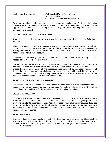Clerk to the Governing Body: c/o Specialist Minute Taking Team South Tyneside Council Westoe Road, South Shields NE33 2RL

Governors are also linked to specific curriculum areas within school e.g. English, Mathematics, Special Educational Needs and special areas of interest e.g. Safeguarding Children, Equal Opportunities. They visit school regularly and play an active and important role in the management of the school.

## **VISITING THE SCHOOL AND ADMISSIONS**

If after having read this prospectus you would like to know more please bear the following in mind about visits.

Choosing a school – if you are choosing a primary school we are always happy to meet new parents and children, but please make sure there is someone free to see you. It is always best to telephone first and make an appointment – if you would like to see our school at work we would be happy to show you around.

Admissions to the nursery class are dealt with at the school. Names for the nursery class are accepted from a child's second birthday.

Children can join the reception class at the beginning of the school year in which they will be five. Once a child has a place in the nursery or reception class, they begin attendance on a phased basis in accordance with the procedure recommended by the Local Authority. Full details about school and nursery admissions are contained in a booklet available free from the Admissions Section of the Local Authority based at the Civic Centre. A reference copy of this booklet is available at the school and your branch library.

# **ADMISSION FOR PUPILS WITH DISABILITIES**

The school does not discriminate against pupils with disabilities within the admissions criteria. Consultation between school, parents and the Local Authority will always be given the highest priority in order to facilitate effective admissions procedures into the school.

## **CLASS ORGANISATION**

St. Joseph's is a one form entry school. Our classes contain pupils across the whole range of ability. At the end of the school year, children move automatically to the next year group, until it is time to transfer to secondary school. Apart from specific individual circumstances described under the heading 'Special educational Needs', children receive all their teaching as part of their class. This teaching may be individual, in small groups, whole class group or school based, as is appropriate to the task.

# **PASTORAL CARE**

Each class teacher is responsible for most of the teaching their class receives. Class teachers also look after a wide range of the children's other needs, including acting as the main link with parents. Each teacher normally stays with their class for one year and sometimes two if a teacher moves class.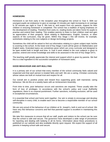#### **HOMEWORK**

Homework is set from early in the reception year throughout the school to Year 6. With our youngest pupils we endeavour to give on average 10 minutes per night increasing to on average to 30 minutes per night in Year 6. We look to, and expect from our parents, support for their children in ensuring homework is completed. The school has a tradition of laying emphasis on the development of reading. Therefore from early on, reading books are taken home for pupils to practise and extend their reading. This enables parents to listen to their children read and gain an appreciation of their progress. Work relating to Mathematics, English, Science, or other aspects of the curriculum, may be given. Within Key Stage 1 this will involve, for example, worksheets relating to the core subjects or design technology projects.

Sometimes the child will be asked to find out information relating to a given subject topic he/she is covering in the school. At the lower end of Key Stage 2 work will be given on Mathematics and English tasks. Extended topics are sometimes given which are cross curricular and designed to be open ended both in length and time. In Year 6 work related to the core subjects is given to practise, extend and revise knowledge and skills to be assessed in the end of Key Stage SATs.

The teaching staff greatly appreciate the interest and support which is given by parents. We feel this is a vital ingredient to the successful completion of homework tasks.

# **GOOD BEHAVIOUR AND ANTI BULLYING**

It is a primary aim of our school that every member of the school community feels valued and respected and that each person is treated fairly and well. We are a caring, Christian community whose values are built on mutual trust and respect for all.

Our overall aim is positive praise and reward thus supporting good, well mannered, caring behaviour. We do this on a weekly basis with an Achievement Assembly.

From time to time, poor behaviour occurs and sanctions are required. These usually take the form of loss of privileges. In accordance with the school's policy and Local Authority regulations, there is no corporal punishment. Further sanctions, including exclusion, will be used in exceptional circumstances.

It is essential that school and home work together. Our aim is simply to encourage and develop self-discipline in every child, to enable each one to become a responsible member of our school community.

We are very proud of the behaviour of our children at St. Joseph's, both in and out of school. We have very few behaviour concerns and feel that parental support is excellent in maintaining this position.

We take firm measures to ensure that all our staff, pupils and visitors to the school can be sure that the school is safe and secure. The governors have developed a wide range of procedures for reporting and dealing with bullying in all its forms. Information about these procedures is published on our website and also available directly upon request. We expect the support of all parents in keeping school safe and secure.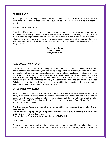## **ACCESSIBILITY**

St. Joseph's school is fully accessible and we respond positively to children with a range of disabilities. Pupils are admitted according to our Admission Policy whether they have a disability or not.

# **EQUALITIES STATEMENT**

At St Joseph's we aim to give the best possible education to every child at our school and we recognise that a feeling of self-confidence and self-worth is essential for every child to make the most of learning opportunities offered. With this is in mind, we aim to provide an environment where children are free to develop without being discriminated against by age, gender, race, faith, language, ability, disability or social class. We value the enrichment diversity brings and firmly believe:

#### **Everyone is Equal Be Yourself Everyone Counts**

# **RACE EQUALITY STATEMENT**

The Governors and staff of St. Joseph's School are committed to working with all our communities to ensure that everyone has an equal opportunity to succeed, and that no member of the school will suffer or be disadvantaged by direct or indirect racial discrimination. At all times we will be vigilant for aspects of our work and play, which may hurt or disadvantage others. Any acts of deliberate bullying and harassment will not be tolerated. Racism in all its forms is not acceptable and will be challenged generally, but particularly where the provisions of the Race Relations Act are broken. This school will work within the provisions of the law, and do everything to meet the standards for Race Equality.

## **SAFEGUARDING CHILDREN**

Parents/Carers should be aware that the school will take any reasonable action to ensure the safety of its pupils. In cases where the school has reason to be concerned that a pupil may be subject to ill treatment, neglect or other forms of abuse, staff have no alternative but to follow SSCB (Sunderland Safeguarding Children Board procedures) and inform Children's Services Social Care of their concern.

**The Designated Person in school with responsibility for safeguarding is Miss Brown (Headteacher).**

**The Nominated Deputy safeguarding leads are Mrs Toward (Deputy Head), Mrs Forbister, Miss Forbister and Mrs Teasdale.**

**The Nominated Governor with responsibility is Ms English.**

## **PUNCTUALITY**

Please make sure that your child arrives on time with all that they need for the school day. It is of great importance that your child arrives punctually. This ensures that they are feeling positive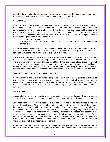about the day ahead and ready for learning. Late arrivals must use the main entrance and report to the office straight away to ensure that their safe arrival is recorded.

# **ATTENDANCE**

Your co-operation in ensuring regular attendance is crucial to your child's education and development. If your child is sick or away from school for any reason please contact the school before 9.30am on the first day of absence. If you do not let us know your child is absent the school administrator will telephone you to ensure your child is safe. This is especially important as the school is legally required to report reasons for absence. If you need to take your child out of school during the day it is very important you:

- Let us know in advance
- Collect your child from the main school office children are not allowed to leave school on their own.

You will be asked to sign your child out of school stating the time and reason. If your child is to be collected by an adult other than the parents, the school must be given the name of the person in advance to ensure our children are safe at all times.

There is a staged process where a child's attendance is a matter of concern. Any proposed absence other than illness or medical appointments requires written permission from the school. There is a form for this purpose that can be obtained from the school office, though leave will only be granted in exceptional circumstances. In line with government regulations, holidays in term time cannot be authorised. The school has the legal responsibility to refuse to authorise an absence if the stated reason is considered to be detrimental to the child's educational well being.

# **CONTACT NAMES AND TELEPHONE NUMBERS**

All parents/carers are asked for daytime telephone contact numbers. All parents/carers will be asked for the names of others who can take responsibility for their child when they are not available or in case of emergency. Only these people will be contacted in such circumstances. It is vitally important that parents/carers let us know of any change of address or new telephone number.

## **MEDICATION**

Several staff are able to administer medication under very strict guidelines. This is to protect pupils but also means all children can be included in activities where medication is necessary.

Only medication prescribed by a doctor is allowed in school and will be administered in line with our "Medicines Policy". Children capable of administrating their own medication will do so under the supervision of an identified person for medication. Parents must complete a care plan with an identified person (medically trained member of staff), for complex on going medical treatment regimes but for short term medication, ie antibiotics, a short term medication request form must be completed. All medication must be documented and appropriate permission given. Some medication requires the child to be at home in order to be effective and prevent cross infection. We ask that parents use sensible discretion in deciding when their child should return to school which can arise with a too hasty return to school.

If your child has Asthma or an Epi-Pen, it is important that you provide school with an in-date inhaler/ in-date Epi-Pen marked with your child's name. Inhalers are kept in an appropriate place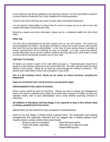in the classroom and will be available to use whenever required. It is the responsibility of parents to ensure that the inhaler/Epi-Pen is fully charged and functioning properly.

Parents must ensure that they are aware of expiry dates and replace beforehand.

It is the parent's responsibility to ensure that the school is aware and up to date of any vital medical information concerning their child.

Should you require any further information, please ask for a medication leaflet from the school office.

## **FIRST AID**

First Aid will be administrated to all minor injuries such as cuts and bruises. The school has several qualified First Aiders. We will give all children a short note to take home to alert parents that minor first aid has been administrated. In the case of more serious illness or accident at school, parents/carers will be informed as soon as possible. It is also crucial that parents provide information about specific medical conditions that may affect their child whilst in school to ensure that we will provide excellent care for your child.

# **VISITORS TO SCHOOL**

All visitors are asked to report to the main office and sign in. If parents/carers would like to speak to a class teacher, please go to the school office first. The office staff will inform the class teacher of your arrival. Please do not enter the school through the children's entrances. This protects your child whilst in school and yourselves in case of fire.

**This is a No Smoking school. Please do not smoke on school premises, including the playground.**

**Dogs are not allowed onto school premises, (except guide dogs).**

## **ARRANGEMENTS FOR LUNCH IN SCHOOL**

Dinner money should be paid via ParentPay. Should you wish to change any arrangements (from a hot meal to a packed lunch) please let us know well in advance in writing, (at least one calendar month), both to ease administration and to avoid children becoming confused or distressed.

# **All children in Reception and Key Stage 1 are required to have a free school meal or bring a packed lunch from home.**

Special diets can be catered for upon production of medical letters.

Some of our Key Stage 2 children bring a packed lunch. The supervision and clearing arrangements are especially important and we suggest that a healthy packed lunch should contain a variety of items that could include:

- Bread as part of a sandwich Dried fruit and raisons
	-
- Fresh fruit and/or vegetable Plain biscuit or cake as a treat
	-
- 
- Yoghurt  **Water/milk/fruit juice**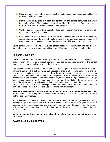- Could you make sure that the packed lunch is made up in a neat box or bag and labelled with your child's name and class.
- Forther Drinks should be suitable (not fizzy) and contained within secure containers kept within the lunch box/bag. Glass bottles are not allowed for safety reasons. Bottles with sports tops are particularly suitable as they do not need opening.
- $\ddot{\phantom{1}}$  Children are requested to take unfinished food and containers home, so that parents can monitor what their child is eating.
- $\ddot{\phantom{1}}$  If you send your child to school with a packed lunch please note that we do not have any special storage areas for packed meals or means of refrigeration especially during the warm summer months when keeping food cool is more difficult than at other times.

Some families will be eligible to receive free school meals. More information and how to apply can be found at https://www.togetherforchildren.org.uk/parents-carers/free-school-meals.

#### **UNIFORM AND PE KIT**

Children need comfortable, hard-wearing clothes for school, which are also inexpensive and easy to wash. Unless it is a special occasion organised by the class teacher or the school, please do not send your children in their best clothes.

Our school uniform is important to us and a source of pride. It costs no more than other garments and is both a unifying factor and a source of pride in St Joseph's School. It is one way in which we identify ourselves as a school family and it promotes a strong, cohesive school identity which supports high standards and expectations in all areas of school life Purple sweatshirts, purple cardigans, ties, white polo shirts, shirts, white PE tops, backpacks, PE bags, book bags, plimsolls and coats can be ordered from Little Gems or online at https://theschooloutfit.co.uk/collections/st-josephs-r-c-primary-school-sunderland.

Grey skirts and trousers can be readily purchased from a number of stores and supermarkets as can black shoes. Black plimsolls are also required to be worn indoors.

**Parents are requested to ensure that all articles of clothing are clearly marked with their child's name.** This is important because children change for P.E. and games and items of clothing are easily mislaid.

In the interests of health and safety, the Governors' policy is that **NO jewellery**, including earrings, rings or necklaces are to be worn to school. If you wish to have your child's ears pierced, the Governors advise that you arrange this to be done at the beginning of the summer holidays so that the wounds are healed in time to avoid the wearing of sleepers when the child returns to school.

**Make up and nail varnish are not allowed in school and extreme haircuts are not permitted.**

#### **GAMES, CLUBS AND SOCIETIES**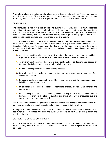A variety of clubs and activities take place at lunchtime or after school. These may change according to the level of interest and support. Some examples currently on offer include Multi Sports, Gymnastics, Choir, Violin, Saxophone, Clarinet, Drums, Guitar and Orchestra.

# **CURRICULUM**

The curriculum is not just a list of subjects taught in a school. The curriculum describes everything that goes on in the school and helps children to learn about the world around them. Any curriculum must cover all the activities in a school designed to promote the academic, spiritual, moral, social, cultural, and physical development of pupils and prepare them for the opportunities, responsibilities and experiences of life and society.

At St. Joseph's, we aim to provide all our children with a broad and balanced curriculum which develops the potential of all children in accordance with provision made under the 1998 Education Reform Act. Teachers plan the delivery of the curriculum using a balance of approaches which include: whole class, group and individual teaching as and when appropriate. We firmly believe:

- $\downarrow$  All children must be valued equally whatever stage their development and are entitled to experience the maximum sense of success and the minimum sense of failure.
- $\ddot{\phantom{1}}$  All children must be afforded equality of opportunity and not be discriminated against on the grounds of class, race, colour, gender, religion or disability.
- $\leftarrow$  Personal development is a life-long learning process.
- In helping pupils to develop personal, spiritual and moral values and a tolerance of the way of life to others.
- In helping pupils to understand the world in which they live and the interdependence of individuals, groups and nations.
- $\ddot{\phantom{1}}$  In developing in pupils the ability to appreciate critically human achievements and endeavours.
- $\ddot$  In developing in pupils lively, enquiring minds, to help them enjoy the acquisition of knowledge, to promote the ability to question and argue rationally; to encourage pupils to apply themselves to a range of tasks

The provision of education is a partnership between schools and colleges, parents and the wider community, each having contributions to make to the development of the other.

In the primary years the school's curriculum is planned with a view to the fact that children learn best when all their senses are used and tasks are seen to be relevant to their present and possible future lives.

# **ST. JOSEPH'S SCHOOL CURRICULUM**

At St. Joseph's we aim to provide a broad and balanced curriculum for all our children including the most able, those with special educational needs and those with English as an additional language.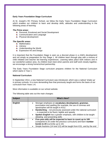# **Early Years Foundation Stage Curriculum**

At St. Joseph's RC Primary School, we follow the Early Years Foundation Stage Curriculum which enables our children to learn and develop skills, attitudes and understanding in the following areas of learning:

#### *The Prime areas:*

- **Fall Personal, Emotional and Social Development**
- **↓** Communication and Language
- **E** Physical development

#### *The Specific areas:*

- $\blacksquare$  Mathematics
- $\ddot{\phantom{1}}$  Literacy
- **↓** Understanding the World
- $\leftarrow$  Expressive Art and Design

It is important that the Foundation Stage is seen as a discreet phase in a child's development and not simply as preparation for Key Stage 1. All children learn through play with a mixture of child initiated and teacher led learning experiences. Learning takes place both indoors and in our wonderful outdoor area. As children learn best when parents and staff work closely together, we encourage a strong home/school partnership.

The Early Years Foundation Stage curriculum prepares children for the National Curriculum which starts in Year 1.

## **National Curriculum**

In September 2014, a new National Curriculum was introduced, which was a radical 'shake up' in primary schools. It is more demanding than that previously taught and forms the basis of our curriculum from Years 1-6.

More information is available on our school website.

The following table sets out the main changes:

| <b>Subject</b>     | <b>What's New?</b>                                                                                                                                                                                                                                                                                                                                                                                       |
|--------------------|----------------------------------------------------------------------------------------------------------------------------------------------------------------------------------------------------------------------------------------------------------------------------------------------------------------------------------------------------------------------------------------------------------|
| <b>English</b>     | Stronger emphasis on vocabulary development, grammar,<br>punctuation and spelling (for example, the use of commas and<br>apostrophes will be taught in KS1)<br>Handwriting - not previously assessed under the national curriculum<br>$\bullet$<br>- is expected to be fluent, legible and speedy<br>Spoken English has a greater emphasis, with children to be taught<br>debating and presenting skills |
| <b>Mathematics</b> | Five-year-olds will be expected to learn to count up to 100<br>$\bullet$<br>(compared to 20 under the previous curriculum) and learn number<br><b>bonds to 20</b> (currently up to 10)<br>Simple fractions (1/4 and 1/2) will be taught from KS1, and by the end                                                                                                                                         |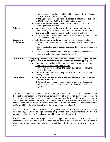|                   | of primary school, children should be able to convert decimal fractions<br>to simple fractions (e.g. $0.375 = 3/8$ )                        |
|-------------------|---------------------------------------------------------------------------------------------------------------------------------------------|
|                   | By the age of nine, children will be expected to know times tables up                                                                       |
|                   | to 12x12 (currently 10x10 by the end of primary school)                                                                                     |
|                   | Calculators will not be introduced until near the end of KS2, to<br>$\bullet$                                                               |
|                   | encourage mental arithmetic                                                                                                                 |
| <b>Science</b>    | Strong focus on scientific knowledge and language, rather than<br>$\bullet$                                                                 |
|                   | understanding the nature and methods of science in abstract terms                                                                           |
|                   | <b>Evolution</b> will be taught in primary schools for the first time<br>$\bullet$                                                          |
|                   | Non-core subjects like caring for animals will be replaced by topics like<br>$\bullet$                                                      |
|                   | the human circulatory system                                                                                                                |
| Design and        | Afforded greater importance under the new curriculum, setting<br>$\bullet$                                                                  |
| <b>Technology</b> | children on the path to becoming the designers and engineers of the<br>future                                                               |
|                   | More sophisticated use of design equipment such as electronics and<br>$\bullet$                                                             |
|                   | robotics                                                                                                                                    |
|                   | In KS2, children will learn about how key events and individuals in                                                                         |
|                   | design and technology have shaped the world                                                                                                 |
|                   |                                                                                                                                             |
| <b>Computing</b>  | Computing replaces Information and Communication Technology (ICT), with<br>a greater focus on programming rather than on operating programs |
|                   | From age five, children will learn to write and test simple programs,                                                                       |
|                   | and to organise, store and retrieve data                                                                                                    |
|                   | From seven, they will be taught to understand computer networks,<br>$\bullet$                                                               |
|                   | including the internet                                                                                                                      |
|                   | Internet safety - previously only taught from 11-16 - will be taught in<br>$\bullet$                                                        |
|                   | primary schools                                                                                                                             |
| Languages         | A modern foreign language or ancient language (Latin or Greek)<br>$\bullet$                                                                 |
|                   | is mandatory in KS2                                                                                                                         |
|                   | Children will be expected to master basic grammar and accurate<br>$\bullet$                                                                 |
|                   | pronunciation and to converse, present, read and write in the                                                                               |
|                   | language                                                                                                                                    |

At St Joseph's we teach foundation subjects through a cross curricular approach, which we call the creative curriculum. In the creative curriculum, staff deliver half termly units of learning centred on a given theme to make learning more engaging for the children. We make use of special days and weeks, themes and a range of visitors. Visits also enhance learning and the school is keen that all pupils are able to enjoy and learn from the residential experience offered by Derwent Hill in the Lake District when they are in upper Key Stage 2.

Personal, Social and Health Education along with Citizenship are also taught in a cross curricular way, as well as through dedicated programmes such as 'Statements to Live By'. We currently hold the Healthy Schools Award and Platinum Anti-Bully award.

We have four wonderful music specialists who support curriculum delivery at St. Joseph's. Additionally, we have a thriving school choir and we offer a range of individual music tuition in chalumeau, clarinet, saxophone, violin, guitar and drums. Further details are available from the school.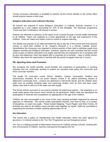Termly curriculum information is available to parents via the school website or the school office should anyone require a hard copy.

## **Religious Education and Collective Worship**

All schools are required to teach Religious Education. In Catholic Schools, however, it is regarded as a core subject accounting for 10% of the timetable. The Diocesan programme 'Come and See' is followed in all classes in school.

Parents are informed in advance of the topics to be covered through a termly leaflet distributed to all children. Topics are explored at a level appropriate to the age and experience of the children. Visits are made and visitors come to school to support learning.

The beliefs and practise of our faith permeate the day-to-day life of the school and most parents choose to send their children to St. Joseph's because it is a Roman Catholic school. Nevertheless the Governors are required to remind parents of their right to withdraw pupils from religious worship and Religious Education. However, parents are also reminded that the school exists to give a Catholic education to its pupils and that they are expected to be in sympathy with its aims and objectives. Each day begins with a corporate act of worship – class or whole school. Children also have the opportunity to worship with the parish at regular intervals in church.

# **PE, Sporting Aims and Provision**

We recognise the health benefits, social benefits and enjoyment of participation in sporting activities and are continually working to extend our provision both within the curriculum and extra-curricular activities.

The taught PE curriculum covers Dance, Athletics, Games, Gymnastics, Outdoor and Adventurous Activities. All of our junior classes, (Years 3- 6), attend swimming classes at Silksworth Community Pool. Lessons are delivered in half termly blocks and the children learn skills such as sculling, treading water and swimming strokes such as front and back crawl. Safety rules both in and out of the water are also taught.

The formal school curriculum is not used to practise full sided team games – the emphasis is on small sided games that ensure much activity by all participants. Match skills are developed via participation in festivals and competitions as appropriate to the age of the children.

Children are also encouraged to join some of the many sporting activities organised by external agencies or individuals. The school invites specialised coaches, from time to time, in a number of disciplines, to coach our pupils. These include Skipping, "Touch Rugby" and Short Tennis. All activities are open to all children; boys and girls work together as equals. Staff are committed to supporting the provision of better sporting opportunities for all.

## **Sex Education**

The school has a policy on Relationship and Health Education which has been agreed by governors. It is linked closely to the 'Ten Ten' Programme we use throughout school.

Ten Ten is a leading provider of faith-based resources for Catholic primary schools, working with tens of thousands of children, teachers and parents throughout the UK.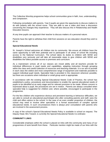The Collective Worship programme helps school communities grow in faith, love, understanding and compassion.

Following consultation with parents, Year 6 pupils are given the opportunity to discuss matters to do with puberty with the school nurse. They are able to see a video and have a discussion concerning the changes they experience. They will also discuss this in Relationship and Health Education lessons.

At any time pupils can approach their teacher to discuss matters of a personal nature.

Parents have the right to withdraw their child from sessions on sex education should they wish to do so.

#### **Special Educational Needs**

St. Joseph's School welcomes all children into its community. We ensure all children have the same opportunity to fulfil their potential and to participate in all areas of school life including access to the National Curriculum. The school takes its duties to children with SEND and disabilities very seriously and will take all reasonable steps to give children with SEND and disabilities the fullest possible access to premises and curriculum.

As a mainstream school, all of our classes are mixed ability and all teachers provide for individual differences in pupil needs and capabilities, adapting instruction through grouping within the class and careful selection of resources and teaching materials. It is our aim to provide in each class the widest and most comprehensive range of equipment and materials possible to support individual pupil needs. Specialist help is provided in the classroom wherever possible, but there are occasions when individual or small group work is appropriate.

In accordance with the existing Special Educational Needs Code of Practice, the school has established a policy, procedures and documentation to enable the special educational needs of pupils to be identified at an early stage and for relevant provision to be made. Where concern is expressed about a pupil, the procedures are set in motion. Parents are always consulted when specialist help is suggested for children and, where possible, encouraged to participate in the programme.

For the few children who experience obvious and persistent learning or behaviour difficulties, we are able to consult an educational psychologist who after consulting parents and staff, sees the child and offers advice to the school. In the case of an even smaller proportion of children, the school may need to involve other specialists in a formal assessment of complex special educational needs. In such circumstances there is always prior consultation with parents who are involved in the assessment process.

A copy of the school's Special Educational Needs Policy is available in school on request. The Deputy Head, Mrs Toward, is currently the Special Educational Needs Co-ordinator.

# **COMMUNITY LINKS**

Considerable emphasis within the school is placed on links with the community and many of our programmes of work benefit from these. Particular mention might be made of our links with the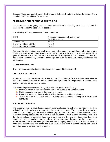Diocese, Monkwearmouth Deanery Partnership of Schools, Sunderland Echo, Sunderland Royal Hospital, CAFOD and Holy Cross Home.

# **ASSESSMENT AND REPORTING TO PARENTS**

Assessment is an on-going process throughout children's schooling as it is a vital tool for teachers when planning the school lessons.

The following statutory assessments are carried out:

| <b>EYFS</b>             | Reception baseline early in the year |
|-------------------------|--------------------------------------|
|                         | <b>End of Reception</b>              |
| <b>Phonics Test</b>     | Year 1                               |
| End of Key Stage 1 SATs | Year 2                               |
| End of Key Stage 2 SATs | Year 6                               |
|                         |                                      |

Two parents' evenings are held each year – one in the autumn term and one in the spring term. These are more formal opportunities to discuss your child (ren)'s work. A written report will be given to parents in the summer term. This will indicate progress and achievement (in line with age related expectations), as well as covering areas such as behaviour, effort, attendance and punctuality.

# **OTHER INFORMATION**

If you are considering joining us at St. Joseph's you need to be aware of:

# **OUR CHARGING POLICY**

All education during the school day is free and we do not charge for any activity undertaken as part of the National curriculum, nor materials and ingredients for things made in school, which pupils or parents do not want to keep.

The Governing Body reserves the right to make charges for the following:

- $\ddot{\phantom{1}}$  Individual music tuition which is not part of the syllabus for an examination
- $\triangleq$  Certain excursions where a third party is involved
- $\ddot{\bullet}$  Board and lodgings where a school activity involves a residential element
- $\ddot{\phantom{1}}$  The exact cost of "optional extras" i.e. things not connected directly with the national curriculum

# **Voluntary Contributions**

The school Governors have decided that, in general, charges will only ever be made for a school activity if this is the only way to guarantee the event takes place. This is most likely to apply to class visits or bringing some outside visitors (e.g. artists) into school. These activities, which relate to work in progress, are felt to have a high educational value but the policy of governors is that the school cannot subsidise these to a large extent and they can only take place if sufficient voluntary funds are received. We will always inform parents at the outset and try, however, to assist parents who would have genuine difficulty in paying including Pupil Premium pupils. If insufficient contributions are raised, however, we have the right to cancel any trip and we will make this clear to parents from the outset.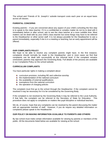The school and 'Friends of St. Joseph's' subside transport costs each year on an equal basis across all classes.

## **PARENTAL CONCERNS**

Existing parents – if you are concerned about any aspect of your child's schooling the first step is to speak to the class teacher. If it is a confidential or complex matter do not try to deal with it immediately before or after school, ask to see the class teacher at a more suitable time. Most matters can be dealt with by your child's class teacher but some things may have to be referred to the Headteacher or other senior staff. It is not always possible for the Headteacher to see a parent immediately, especially if she is in a meeting or teaching, but an early appointment will be offered.

#### **OUR COMPLAINTS POLICY**

We hope to be able to resolve any complaint parents might have. In the first instance, complaints should normally be made to the Headteacher, and in most cases we find that complaints can be dealt with successfully at this informal level. If the complaint remains unresolved, parents may approach the Governing Body. Full details of the process are available in our Complaints Policy on the school website.

## **CURRICULUM COMPLAINTS**

You have particular rights in making a complaint about:

- $\leftarrow$  curriculum provision, including RE and collective worship
- $\ddot{\phantom{1}}$  the implementation of the national curriculum
- $\ddot{\bullet}$  the availability of external qualifications
- $\triangleq$  exemptions from the national curriculum
- $\ddot{\bullet}$  the operation of charging policies

The complaint must first go to the school through the Headteacher. If the complaint cannot be resolved it may be necessary for it to be considered by the Governing Body.

If the complaint is not resolved by the Governing Body it may be referred to the Local Authority. If that fails, the complaint can be referred to the Secretary of State for Education. This procedure does not apply to complaints on matters like pupil discipline or individual teachers.

We do, of course, hope that any complaints can be resolved by the parent discussing the matter with an appropriate member of staff. However, if you do require any detailed information on complaints please speak to the Headteacher.

## **OUR POLICY ON MAKING INFORMATION AVAILABLE TO PARENTS AND OTHERS**

By law school must make certain information available for viewing by parents or members of the public. All the documents listed below are available for viewing at the school.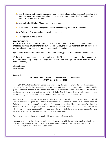- Any Statutory Instruments (including those for national curriculum subjects), circulars and administrative memoranda relating to powers and duties under the "Curriculum" section of the Education Reform Act.
- $\downarrow$  Any published HMI or Ofsted reports on the school.
- $\ddot{\bullet}$  Any schemes of work and syllabuses currently used by teachers in the school.
- $\uparrow$  A full copy of the curriculum complaints procedure.
- $\ddot{\bullet}$  The agreed syllabus for RE.

## **IN CONCLUSION**

St Joseph's is a very special school and we do our utmost to provide a warm, happy and engaging learning environment for our children. Everyone is an important part of our school family and we try our very best to make everyone feel special.

If you would like any further information about our school, please don't hesitate to contact us.

We hope this prospectus will help you and your child. Please keep it handy so that you can refer to it when necessary. Things do change from time to time and updates will be sent out as and when necessary.

Miss S Brown Headteacher

## **Appendix 1**

# ST JOSEPH'S RCVA CATHOLIC PRIMARY SCHOOL, SUNDERLAND ADMISSION POLICY 2021-2022

St Joseph's RCVA Catholic Primary School was founded by the Catholic Church to provide education for children of Catholic families. Whenever there are more applications than places available, priority will be given to Catholic children in accordance with the oversubscription criteria listed below. The school is conducted by its governing body as part of the Catholic Church in accordance with its trust deed and instrument of government, and seeks at all times to be a witness to Our Lord Jesus Christ.

As a Catholic school, we aim to provide a Catholic education for all our pupils. At a Catholic school, Catholic doctrine and practice permeate every aspect of the school's activity. It is essential that the Catholic character of the school's education be fully supported by all families in the school. We therefore hope that all parents will give their full, unreserved and positive support for the aims and ethos of the school. This does not affect the right of an applicant who is not Catholic to apply for and be admitted to a place at the school in accordance with the admission arrangements.

The admission policy criteria will be dealt with on an equal preference basis.

The governing body is the admissions authority and has responsibility for admissions to this school. The local authority undertakes the coordination of admission arrangements during the normal admission round for reception year admission in September.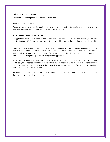#### Parishes served by the school

The school serves the parish of St Joseph's Sunderland.

#### Published Admission Number

The governing body has set its published admission number (PAN) at 30 pupils to be admitted to [the reception year] in the school year which begins in September 2021.

#### Application Procedures and Timetable

To apply for a place at this school in the normal admission round (not in-year applications), a Common Application Form (CAF) must be completed. This is available from the local authority in which the child lives.

The parent will be advised of the outcome of the application on 16 April or the next working day, by the local authority. If the application is unsuccessful (unless the child gained a place at a school the parent ranked higher) the parent will be informed of the decision, related to the oversubscription criteria listed above, and has the right of appeal to an independent appeal panel.

If the parent is required to provide supplemental evidence to support the application (e.g. a baptismal certificate), this evidence should be provided at the time of application. If not provided, evidence may be sought by the governing body following the closing date for applications. This information must have been correct at the date of closing for applications.

All applications which are submitted on time will be considered at the same time and after the closing date for admissions which is 15 January 2021.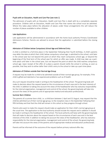#### Pupils with an Education, Health and Care Plan (see note 1)

The admission of pupils with an Education, Health and Care Plan is dealt with by a completely separate procedure. Children with an Education, Health and Care Plan that names the school must be admitted. Where this takes place before the allocation of places under these arrangements this will reduce the number of places available to other children.

#### Late Applications

Late applications will be administered in accordance with the home local authority Primary Coordinated Admissions Scheme. Parents are advised to ensure that the application is submitted before the closing date.

#### Admission of Children below Compulsory School Age and Deferred Entry

A child is entitled to a full-time place in the September following their fourth birthday. A child's parents may defer the date at which their child, below compulsory school age, is admitted to the school, until later in the school year but not beyond the point at which they reach compulsory school age, or beyond the beginning of the final term of the school year for which an offer was made. A child may take up a parttime place until later in the school year, but not beyond the point at which the child reaches compulsory school age. Upon receipt of the offer of a place a parent should notify the school in writing, as soon as possible, that they wish to either defer their child's entry to the school or take up a part-time place.

#### Admission of Children outside their Normal Age Group

A request may be made for a child to be admitted outside of their normal age group, for example, if the child is gifted and talented or has experienced problems such as ill health.

Any such request should be made in writing to the headteacher of the school. The governing body will make its decision about the request based on the circumstances of each case and in the best interests of the child. In addition to taking into account the views of the headteacher who has statutory responsibility for the internal organisation, management and control of the school, the governing body will take into account the views of the parents and of appropriate medical and education professionals.

#### Summer Born Children

The parents of a summer born child, i.e. a child born between 1 April and 31 August, may request that the child be admitted out of their normal age group, to the reception class in the September following their fifth birthday and that that the child will remain in this cohort as they progress through school.

Parents who want to make this request should make an application for their child's normal age group at the usual time. The application to the local authority should include this request and in addition it should be made in writing to the headteacher of the school. The local authority will liaise with the governing body that will make its decision about the request based on the circumstances of each case and in the best interests of the child. In addition to taking into account the views of the headteacher, who has statutory responsibility for the internal organisation, management and control of the school, the governing body will take into account the views of the parents and of appropriate medical and education professionals.

Parents will be informed of the outcome of the request before primary national offer day.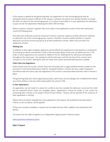If the request is agreed by the governing body, the application for the normal age group may be withdrawn before a place is offered. If the request is refused, the parent must decide whether to accept the offer of a place for the normal age group, or to refuse it and make an in year application for admission to year one for the September following the child's fifth birthday.

Where a parent's request is agreed, they must make a new application as part of the main admissions round the following year.

One admission authority cannot be required to honour a decision made by another admission authority on admission out of the normal age group. Parents, therefore, should consider whether to request admission out of the normal year group at all their preference schools, rather than just their first preference schools.

#### Waiting Lists

In addition to their right of appeal, applicants will be offered the opportunity to be placed on a waiting list. This waiting list will be maintained in order of the oversubscription criteria set out below and not in the order in which applications are received or added to the list. Waiting lists for admission will operate throughout the school year. The waiting list will be held open until the last day of the summer term. Inclusion on the school's waiting list does not mean that a place will eventually become available.

#### Infant Class Size Regulations

Infant classes may not, by law, contain more than 30 pupils with a single qualified teacher (subject to the provisions in the School Admissions Code for 'excepted children'). Parents do have a right of appeal in accordance with the infant class size regulations if the school is oversubscribed and their child is refused a place.

The governing body will, where logistically possible, admit twins and all siblings from multiple births where one of the children is the last child ranked within the school's PAN.

#### In-Year Applications

An application can be made for a place for a child at any time outside the admission round and the child will be admitted where there are available places. Applications should be made to the school by contacting Miss S Brown at St Joseph's RCVA Primary School. Parents will be advised of the outcome of their application in writing.

Where there are places available but more applications than places, the published oversubscription criteria, as set out above, will be applied.

If there are no places available, a request can be made that the child is added to the waiting list (see above).

The parent has the right of appeal to an independent appeal panel if refused a place.

[www.stjosephssunderland.school](http://www.stjosephssunderland.school/)

#### Right of Appeal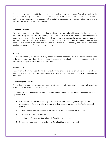Where a parent has been notified that a place is not available for a child, every effort will be made by the local authority to help the parent to find a place in a suitable alternative school. Parents who are refused a place have a statutory right of appeal. Further details of the appeals process are available by writing to the chair of governors at the school address.

## Fair Access Protocol

The school is committed to taking its fair share of children who are vulnerable and/or hard to place, as set out in locally agreed protocols. Accordingly, outside the normal admission round the governing body is empowered to give absolute priority to a child where admission is requested under any local protocol that has been agreed by both the diocese and the governing body for the current school year. The governing body has this power, even when admitting the child would mean exceeding the published admission number (subject to the infant class size exceptions).

## Nursery

For children attending the school's nursery, application to the reception class of the school must be made in the normal way, to the home local authority. Attendance at the school's nursery does not automatically guarantee that a place will be offered at the school.

## False evidence

The governing body reserves the right to withdraw the offer of a place or, where a child is already attending the school, the place itself, where it is satisfied that the offer or place was obtained by deception.

## Oversubscription Criteria

Where there are more applications for places than the number of places available, places will be offered according to the following order of priority.

*First priority in each category will be given to children who will have an older sibling attending the school in September 2021.*

- 1. Catholic looked after and previously looked after children, including children previously in state care outside of England who have ceased to be in that state care as a result of being adopted (See Notes 2 & 3)
- 1. Catholic children who are resident in the parish of St Joseph's Sunderland (see note 3)
- 2. Other Catholic children. (see note 3)
- 3. Other looked after and previously looked after children. (see note 2)
- 4. Catechumens and members of an Eastern Christian Church. (see notes 4&5)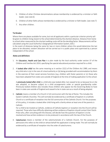- 5. Children of other Christian denominations whose membership is evidenced by a minister or faith leader. (see note 6)
- 6. Children of other faiths whose membership is evidenced by a minister or faith leader. (see note 7)
- 7. Any other children.

#### Tie Breaker

Where there are places available for some, but not all applicants within a particular criterion priority will be given to children living closest to the school determined by the shortest distance. Distance from home to school when measured by the shortest walking route will be the deciding factor. Measurements will be calculated using the Local Authority's Geographical Information System, (GIS.)

In the event of distances being the same for two or more children where this would determine the last place to be allocated, random allocation will be carried out in a public place and supervised by a person independent of the school.

#### Notes and definitions

- 1. An Education, Health and Care Plan is a plan made by the local authority under section 37 of the Children and Families Act 2014, specifying the special educational provision required for a child.
- 2. A looked after child has the same meaning as in section  $22(1)$  of the Children Act 1989, and means any child who is (a) in the care of a local authority or (b) being provided with accommodation by them in the exercise of their social services functions (e.g. children with foster parents) or (c) those who have been adopted from state care outside of England at the time of making application to the school.

A previously looked after child is a child who was looked after, but ceased to be so because he or she was adopted, or became subject to a child arrangements order or special guardianship order. Previously looked children also includes those children who appear (to the Governing Body) to have been in state care outside of England and ceased to be in state care as a result of being adopted.

3. Catholic means a member of a Church in full communion with the See of Rome. This includes the Eastern Catholic Churches. This will normally be evidenced by a certificate of baptism in a Catholic Church or a certificate of reception into the full communion of the Catholic Church. For the purposes of this policy, it includes a looked after child living with a family where at least one of the parents is Catholic.

For a child to be treated as Catholic, evidence of Catholic baptism or reception into the Church will be required. Those who have difficulty obtaining written evidence of baptism should contact their Parish Priest who, after consulting with the Diocese, will decide how the question of baptism is to be resolved and how written evidence is to be produced in accordance with the law of the Church.

4. **Catechumen** means a member of the catechumenate of a Catholic Church. For the purposes of admissions this refers to the child on whose behalf the application is being made. This will normally be evidenced by a certificate of reception into the order of catechumens.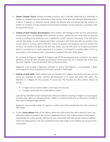- 5. Eastern Christian Church includes Orthodox Churches, and is normally evidenced by a certificate of baptism or reception from the authorities of that Church. Those who have difficulty obtaining written evidence of baptism or reception should contact the Diocese who will decide how the question of baptism or reception is to be resolved and how written evidence is to be produced in accordance with the law of the Church.
- 6. Children of other Christian denominations means children who belong to other churches and ecclesial communities which, acknowledge God's revelation in Christ, confess the Lord Jesus Christ as God and Saviour according to the Scriptures, and, in obedience to God's will and in the power of the Holy Spirit commit themselves: to seek a deepening of their communion with Christ and with one another in the Church, which is his body; and to fulfil their mission to proclaim the Gospel by common witness and service in the world to the glory of the one God, Father, Son and Holy Spirit. An ecclesial community which on principle has no credal statements in its tradition, is included if it manifests faith in Christ as witnessed to in the Scriptures and is committed to working in the spirit of the above.

All members of Churches Together in England and CYTÛN are deemed to be included in the above definition, as are all other churches and ecclesial communities that are in membership of any local Churches Together Group (by whatever title) on the above basis.

Applicants must provide a baptismal certificate or where child baptism is not practised, a letter confirming their church membership from their minister or faith leader.

- 7. Children of other faiths means children who are members of a religious community that does not fall within the definition of 'other Christian denominations' at 6 above and which falls within the definition of a religion for the purposes of charity law. The Charities Act 2011 defines religion to include:
	- A religion which involves belief in more than one God, and
	- A religion which does not involve belief in a God.

Case law has identified certain characteristics which describe the meaning of religion for the purposes of charity law, which are characterised by a belief in a supreme being and an expression of belief in that supreme being through worship.

Applicants must provide a letter of support to confirm their faith membership from their minister or faith leader.

8. A child's home address refers to the address where the child usually lives with a parent or carer, and will be the address provided in the Common Application Form ("CAF"). Where parents have shared responsibility for a child, and the child lives for part of the week with each parent, the home address will be the address given in the CAF, provided that the child resides at that address for any part of the school week.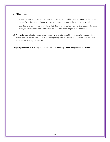## 9. Sibling includes:

- (i) all natural brothers or sisters, half brothers or sisters, adopted brothers or sisters, stepbrothers or sisters, foster brothers or sisters, whether or not they are living at the same address; and
- (ii) the child of a parent's partner where that child lives for at least part of the week in the same family unit at the same home address as the child who is the subject of the application.
- 10. A parent means all natural parents, any person who is not a parent but has parental responsibility for a child, and any person who has care of a child (having care of a child means that the child lives with and is looked after by that person).

This policy should be read in conjunction with the local authority's admission guidance for parents.